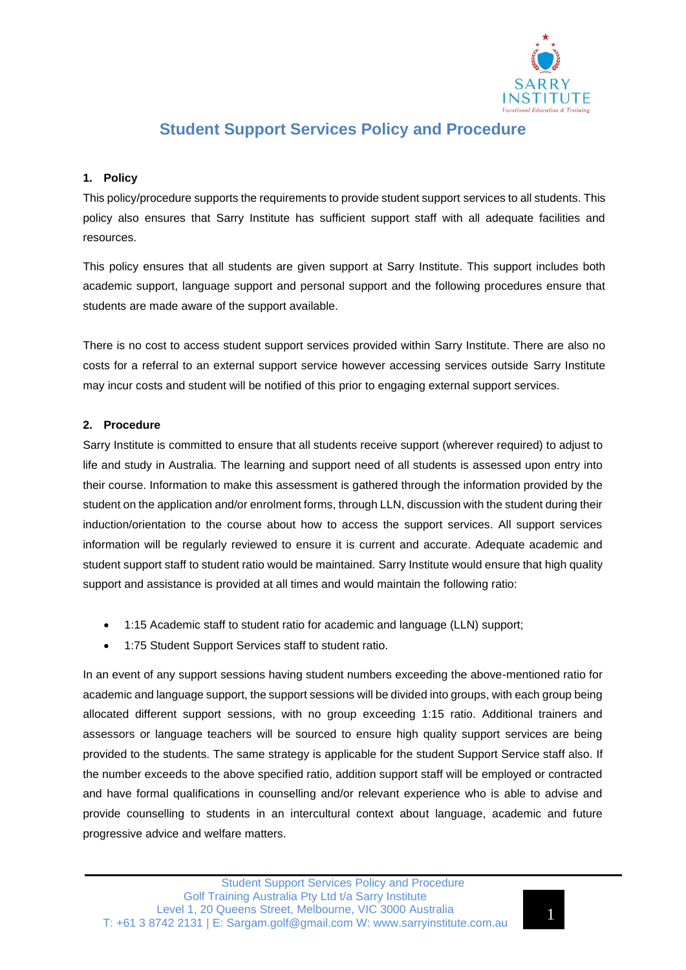

# **Student Support Services Policy and Procedure**

## **1. Policy**

This policy/procedure supports the requirements to provide student support services to all students. This policy also ensures that Sarry Institute has sufficient support staff with all adequate facilities and resources.

This policy ensures that all students are given support at Sarry Institute. This support includes both academic support, language support and personal support and the following procedures ensure that students are made aware of the support available.

There is no cost to access student support services provided within Sarry Institute. There are also no costs for a referral to an external support service however accessing services outside Sarry Institute may incur costs and student will be notified of this prior to engaging external support services.

## **2. Procedure**

Sarry Institute is committed to ensure that all students receive support (wherever required) to adjust to life and study in Australia. The learning and support need of all students is assessed upon entry into their course. Information to make this assessment is gathered through the information provided by the student on the application and/or enrolment forms, through LLN, discussion with the student during their induction/orientation to the course about how to access the support services. All support services information will be regularly reviewed to ensure it is current and accurate. Adequate academic and student support staff to student ratio would be maintained. Sarry Institute would ensure that high quality support and assistance is provided at all times and would maintain the following ratio:

- 1:15 Academic staff to student ratio for academic and language (LLN) support;
- 1:75 Student Support Services staff to student ratio.

In an event of any support sessions having student numbers exceeding the above-mentioned ratio for academic and language support, the support sessions will be divided into groups, with each group being allocated different support sessions, with no group exceeding 1:15 ratio. Additional trainers and assessors or language teachers will be sourced to ensure high quality support services are being provided to the students. The same strategy is applicable for the student Support Service staff also. If the number exceeds to the above specified ratio, addition support staff will be employed or contracted and have formal qualifications in counselling and/or relevant experience who is able to advise and provide counselling to students in an intercultural context about language, academic and future progressive advice and welfare matters.

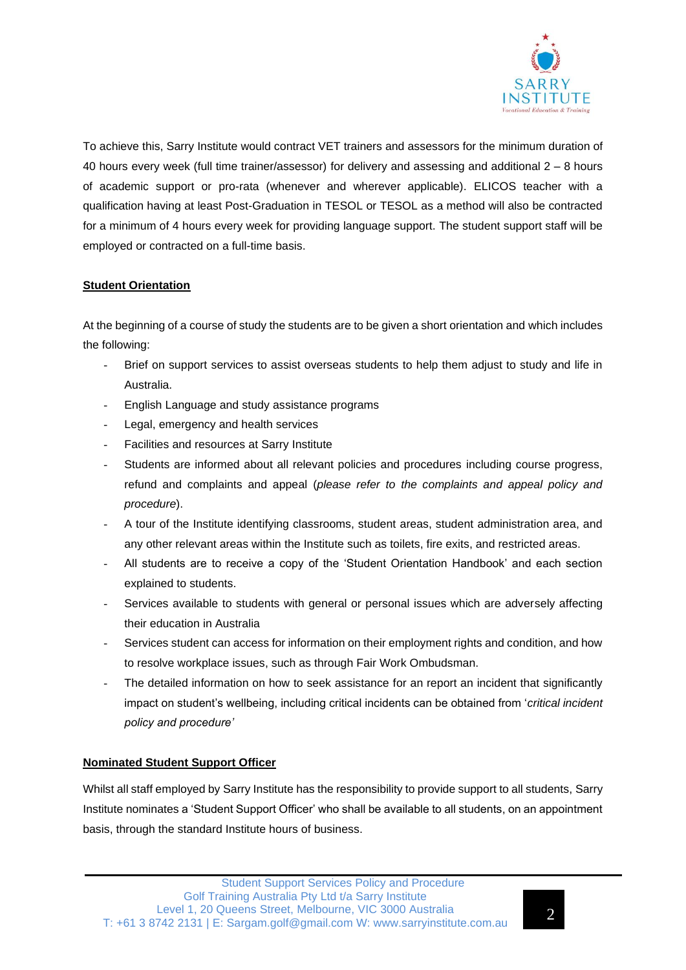

To achieve this, Sarry Institute would contract VET trainers and assessors for the minimum duration of 40 hours every week (full time trainer/assessor) for delivery and assessing and additional 2 – 8 hours of academic support or pro-rata (whenever and wherever applicable). ELICOS teacher with a qualification having at least Post-Graduation in TESOL or TESOL as a method will also be contracted for a minimum of 4 hours every week for providing language support. The student support staff will be employed or contracted on a full-time basis.

# **Student Orientation**

At the beginning of a course of study the students are to be given a short orientation and which includes the following:

- Brief on support services to assist overseas students to help them adjust to study and life in Australia.
- English Language and study assistance programs
- Legal, emergency and health services
- Facilities and resources at Sarry Institute
- Students are informed about all relevant policies and procedures including course progress, refund and complaints and appeal (*please refer to the complaints and appeal policy and procedure*).
- A tour of the Institute identifying classrooms, student areas, student administration area, and any other relevant areas within the Institute such as toilets, fire exits, and restricted areas.
- All students are to receive a copy of the 'Student Orientation Handbook' and each section explained to students.
- Services available to students with general or personal issues which are adversely affecting their education in Australia
- Services student can access for information on their employment rights and condition, and how to resolve workplace issues, such as through Fair Work Ombudsman.
- The detailed information on how to seek assistance for an report an incident that significantly impact on student's wellbeing, including critical incidents can be obtained from '*critical incident policy and procedure'*

# **Nominated Student Support Officer**

Whilst all staff employed by Sarry Institute has the responsibility to provide support to all students, Sarry Institute nominates a 'Student Support Officer' who shall be available to all students, on an appointment basis, through the standard Institute hours of business.

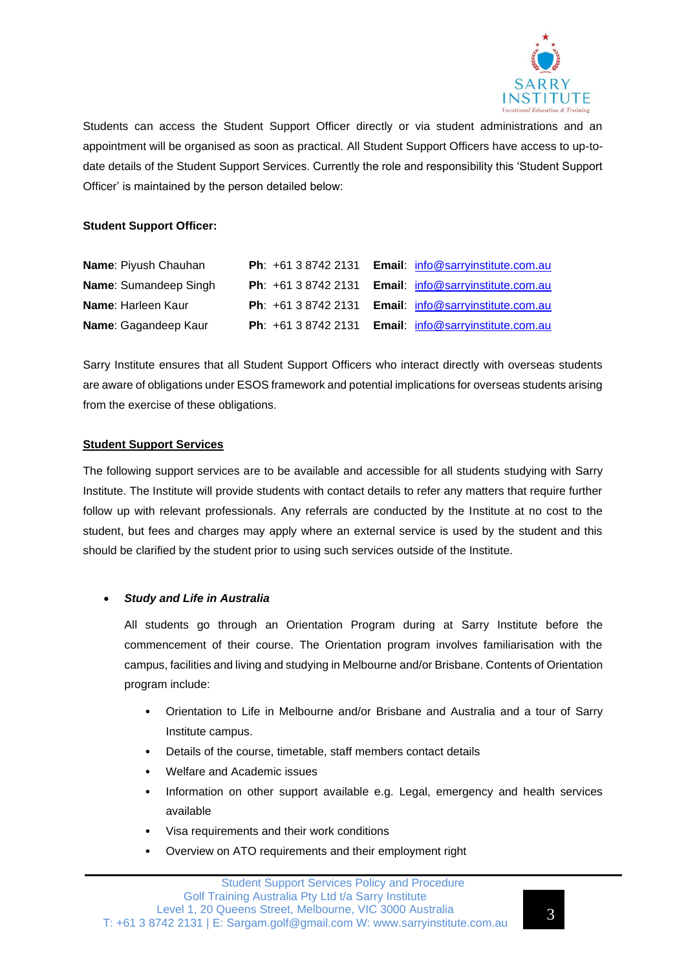

Students can access the Student Support Officer directly or via student administrations and an appointment will be organised as soon as practical. All Student Support Officers have access to up-todate details of the Student Support Services. Currently the role and responsibility this 'Student Support Officer' is maintained by the person detailed below:

## **Student Support Officer:**

| Name: Piyush Chauhan  | <b>Ph:</b> $+61387422131$  | <b>Email: info@sarryinstitute.com.au</b> |
|-----------------------|----------------------------|------------------------------------------|
| Name: Sumandeep Singh | <b>Ph</b> : $+61387422131$ | Email: info@sarryinstitute.com.au        |
| Name: Harleen Kaur    | Ph: +61 3 8742 2131        | Email: info@sarryinstitute.com.au        |
| Name: Gagandeep Kaur  | Ph: +61 3 8742 2131        | <b>Email: info@sarryinstitute.com.au</b> |

Sarry Institute ensures that all Student Support Officers who interact directly with overseas students are aware of obligations under ESOS framework and potential implications for overseas students arising from the exercise of these obligations.

## **Student Support Services**

The following support services are to be available and accessible for all students studying with Sarry Institute. The Institute will provide students with contact details to refer any matters that require further follow up with relevant professionals. Any referrals are conducted by the Institute at no cost to the student, but fees and charges may apply where an external service is used by the student and this should be clarified by the student prior to using such services outside of the Institute.

#### • *Study and Life in Australia*

All students go through an Orientation Program during at Sarry Institute before the commencement of their course. The Orientation program involves familiarisation with the campus, facilities and living and studying in Melbourne and/or Brisbane. Contents of Orientation program include:

- Orientation to Life in Melbourne and/or Brisbane and Australia and a tour of Sarry Institute campus.
- Details of the course, timetable, staff members contact details
- Welfare and Academic issues
- Information on other support available e.g. Legal, emergency and health services available
- Visa requirements and their work conditions
- Overview on ATO requirements and their employment right

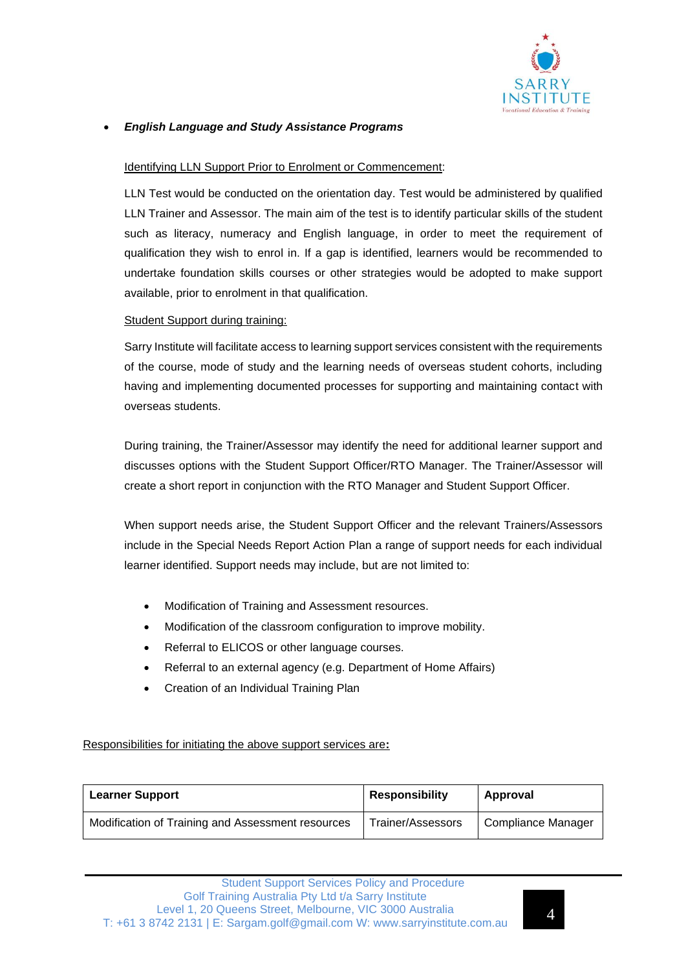

# • *English Language and Study Assistance Programs*

#### Identifying LLN Support Prior to Enrolment or Commencement:

LLN Test would be conducted on the orientation day. Test would be administered by qualified LLN Trainer and Assessor. The main aim of the test is to identify particular skills of the student such as literacy, numeracy and English language, in order to meet the requirement of qualification they wish to enrol in. If a gap is identified, learners would be recommended to undertake foundation skills courses or other strategies would be adopted to make support available, prior to enrolment in that qualification.

## Student Support during training:

Sarry Institute will facilitate access to learning support services consistent with the requirements of the course, mode of study and the learning needs of overseas student cohorts, including having and implementing documented processes for supporting and maintaining contact with overseas students.

During training, the Trainer/Assessor may identify the need for additional learner support and discusses options with the Student Support Officer/RTO Manager. The Trainer/Assessor will create a short report in conjunction with the RTO Manager and Student Support Officer.

When support needs arise, the Student Support Officer and the relevant Trainers/Assessors include in the Special Needs Report Action Plan a range of support needs for each individual learner identified. Support needs may include, but are not limited to:

- Modification of Training and Assessment resources.
- Modification of the classroom configuration to improve mobility.
- Referral to ELICOS or other language courses.
- Referral to an external agency (e.g. Department of Home Affairs)
- Creation of an Individual Training Plan

Responsibilities for initiating the above support services are**:**

| <b>Learner Support</b>                            | <b>Responsibility</b> | Approval           |
|---------------------------------------------------|-----------------------|--------------------|
| Modification of Training and Assessment resources | Trainer/Assessors     | Compliance Manager |

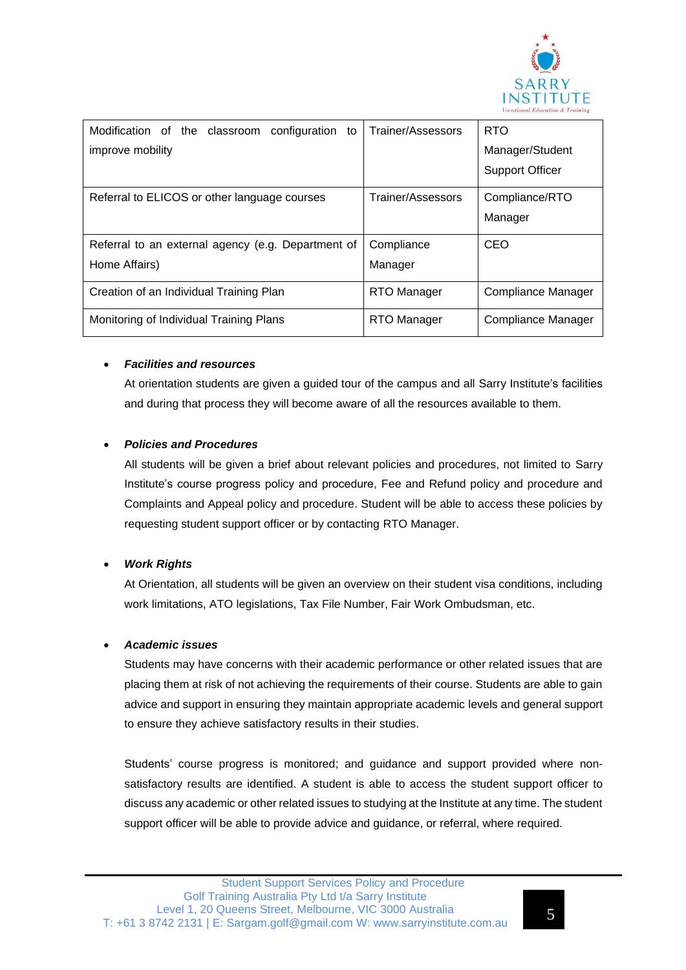

| Modification of the classroom configuration<br>to<br>improve mobility | Trainer/Assessors     | <b>RTO</b><br>Manager/Student<br><b>Support Officer</b> |
|-----------------------------------------------------------------------|-----------------------|---------------------------------------------------------|
| Referral to ELICOS or other language courses                          | Trainer/Assessors     | Compliance/RTO<br>Manager                               |
| Referral to an external agency (e.g. Department of<br>Home Affairs)   | Compliance<br>Manager | CEO                                                     |
| Creation of an Individual Training Plan                               | RTO Manager           | Compliance Manager                                      |
| Monitoring of Individual Training Plans                               | RTO Manager           | Compliance Manager                                      |

## • *Facilities and resources*

At orientation students are given a guided tour of the campus and all Sarry Institute's facilities and during that process they will become aware of all the resources available to them.

## • *Policies and Procedures*

All students will be given a brief about relevant policies and procedures, not limited to Sarry Institute's course progress policy and procedure, Fee and Refund policy and procedure and Complaints and Appeal policy and procedure. Student will be able to access these policies by requesting student support officer or by contacting RTO Manager.

# • *Work Rights*

At Orientation, all students will be given an overview on their student visa conditions, including work limitations, ATO legislations, Tax File Number, Fair Work Ombudsman, etc.

#### • *Academic issues*

Students may have concerns with their academic performance or other related issues that are placing them at risk of not achieving the requirements of their course. Students are able to gain advice and support in ensuring they maintain appropriate academic levels and general support to ensure they achieve satisfactory results in their studies.

Students' course progress is monitored; and guidance and support provided where nonsatisfactory results are identified. A student is able to access the student support officer to discuss any academic or other related issues to studying at the Institute at any time. The student support officer will be able to provide advice and guidance, or referral, where required.

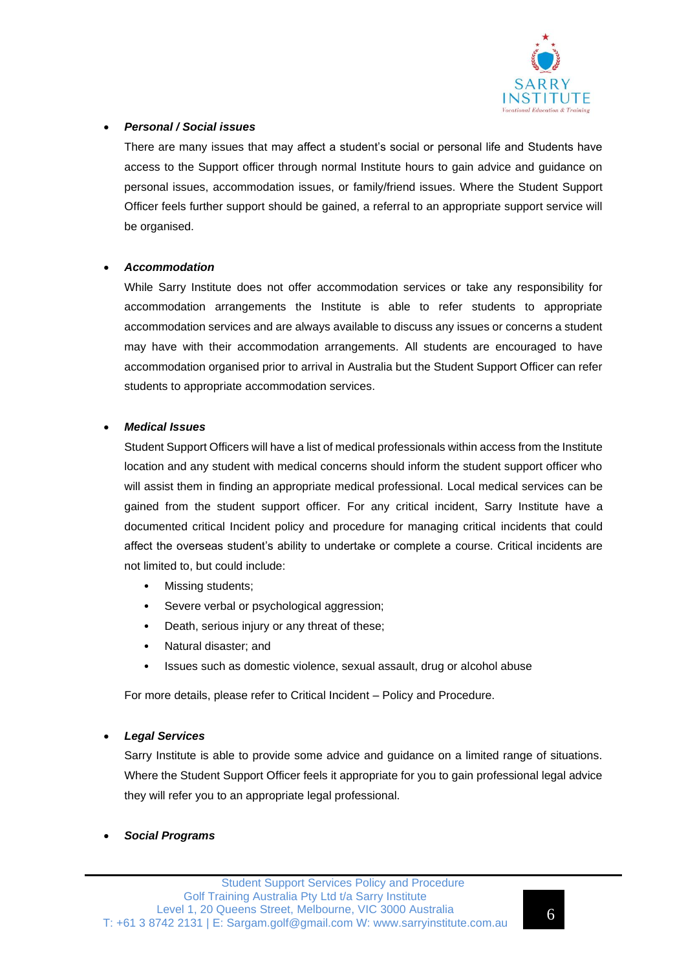

## • *Personal / Social issues*

There are many issues that may affect a student's social or personal life and Students have access to the Support officer through normal Institute hours to gain advice and guidance on personal issues, accommodation issues, or family/friend issues. Where the Student Support Officer feels further support should be gained, a referral to an appropriate support service will be organised.

#### • *Accommodation*

While Sarry Institute does not offer accommodation services or take any responsibility for accommodation arrangements the Institute is able to refer students to appropriate accommodation services and are always available to discuss any issues or concerns a student may have with their accommodation arrangements. All students are encouraged to have accommodation organised prior to arrival in Australia but the Student Support Officer can refer students to appropriate accommodation services.

## • *Medical Issues*

Student Support Officers will have a list of medical professionals within access from the Institute location and any student with medical concerns should inform the student support officer who will assist them in finding an appropriate medical professional. Local medical services can be gained from the student support officer. For any critical incident, Sarry Institute have a documented critical Incident policy and procedure for managing critical incidents that could affect the overseas student's ability to undertake or complete a course. Critical incidents are not limited to, but could include:

- Missing students;
- Severe verbal or psychological aggression;
- Death, serious injury or any threat of these;
- Natural disaster; and
- Issues such as domestic violence, sexual assault, drug or alcohol abuse

For more details, please refer to Critical Incident – Policy and Procedure.

# • *Legal Services*

Sarry Institute is able to provide some advice and guidance on a limited range of situations. Where the Student Support Officer feels it appropriate for you to gain professional legal advice they will refer you to an appropriate legal professional.

# • *Social Programs*